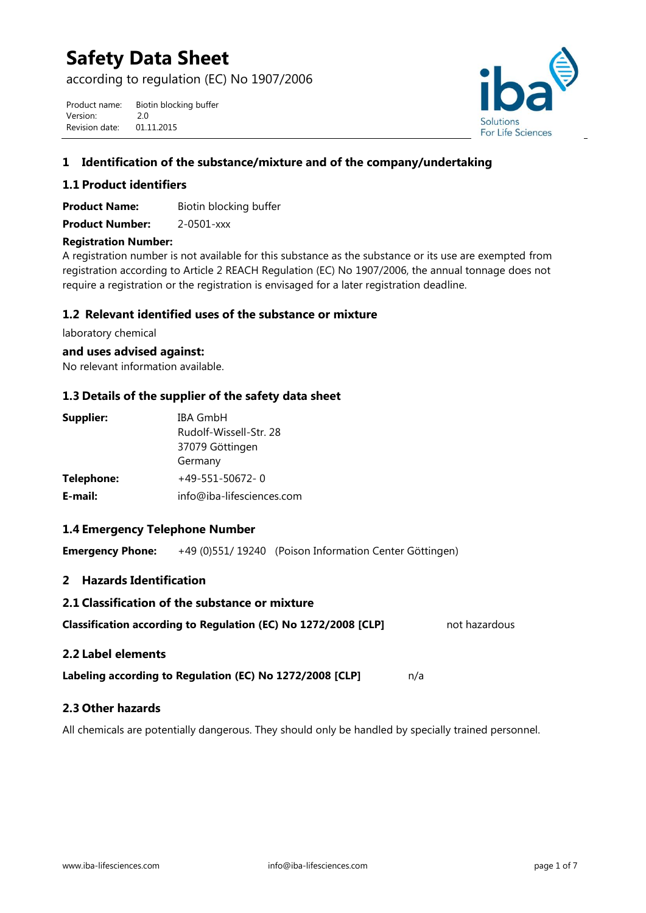# **Safety Data Sheet**

according to regulation (EC) No 1907/2006

Product name: Biotin blocking buffer Version: 2.0 Revision date: 01.11.2015



# **1 Identification of the substance/mixture and of the company/undertaking**

# **1.1 Product identifiers**

**Product Name:** Biotin blocking buffer

**Product Number:** 2-0501-xxx

## **Registration Number:**

A registration number is not available for this substance as the substance or its use are exempted from registration according to Article 2 REACH Regulation (EC) No 1907/2006, the annual tonnage does not require a registration or the registration is envisaged for a later registration deadline.

## **1.2 Relevant identified uses of the substance or mixture**

laboratory chemical

## **and uses advised against:**

No relevant information available.

## **1.3 Details of the supplier of the safety data sheet**

| Supplier:  | <b>IBA GmbH</b>           |  |
|------------|---------------------------|--|
|            | Rudolf-Wissell-Str. 28    |  |
|            | 37079 Göttingen           |  |
|            | Germany                   |  |
| Telephone: | $+49-551-50672-0$         |  |
| E-mail:    | info@iba-lifesciences.com |  |

## **1.4 Emergency Telephone Number**

**Emergency Phone:** +49 (0)551/ 19240 (Poison Information Center Göttingen)

# **2 Hazards Identification**

# **2.1 Classification of the substance or mixture**

| Classification according to Regulation (EC) No 1272/2008 [CLP] | not hazardous |
|----------------------------------------------------------------|---------------|
|                                                                |               |

## **2.2 Label elements**

**Labeling according to Regulation (EC) No 1272/2008 [CLP]** n/a

# **2.3 Other hazards**

All chemicals are potentially dangerous. They should only be handled by specially trained personnel.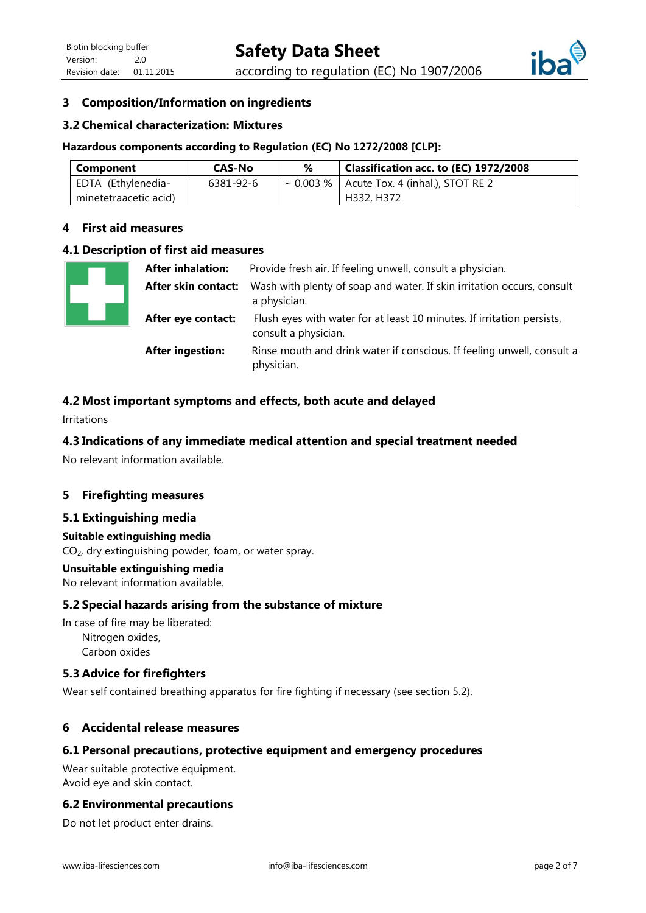

# **3 Composition/Information on ingredients**

# **3.2 Chemical characterization: Mixtures**

## **Hazardous components according to Regulation (EC) No 1272/2008 [CLP]:**

| Component             | <b>CAS-No</b> | % | Classification acc. to (EC) 1972/2008             |
|-----------------------|---------------|---|---------------------------------------------------|
| EDTA (Ethylenedia-    | 6381-92-6     |   | $\sim$ 0,003 %   Acute Tox. 4 (inhal.), STOT RE 2 |
| minetetraacetic acid) |               |   | H332, H372                                        |

# **4 First aid measures**

## **4.1 Description of first aid measures**

|  | <b>After inhalation:</b> | Provide fresh air. If feeling unwell, consult a physician.                                     |
|--|--------------------------|------------------------------------------------------------------------------------------------|
|  | After skin contact:      | Wash with plenty of soap and water. If skin irritation occurs, consult<br>a physician.         |
|  | After eye contact:       | Flush eyes with water for at least 10 minutes. If irritation persists,<br>consult a physician. |
|  | <b>After ingestion:</b>  | Rinse mouth and drink water if conscious. If feeling unwell, consult a<br>physician.           |

# **4.2 Most important symptoms and effects, both acute and delayed**

Irritations

# **4.3 Indications of any immediate medical attention and special treatment needed**

No relevant information available.

## **5 Firefighting measures**

## **5.1 Extinguishing media**

## **Suitable extinguishing media**

CO2, dry extinguishing powder, foam, or water spray.

## **Unsuitable extinguishing media**

No relevant information available.

## **5.2 Special hazards arising from the substance of mixture**

In case of fire may be liberated: Nitrogen oxides, Carbon oxides

# **5.3 Advice for firefighters**

Wear self contained breathing apparatus for fire fighting if necessary (see section 5.2).

## **6 Accidental release measures**

## **6.1 Personal precautions, protective equipment and emergency procedures**

Wear suitable protective equipment. Avoid eye and skin contact.

## **6.2 Environmental precautions**

Do not let product enter drains.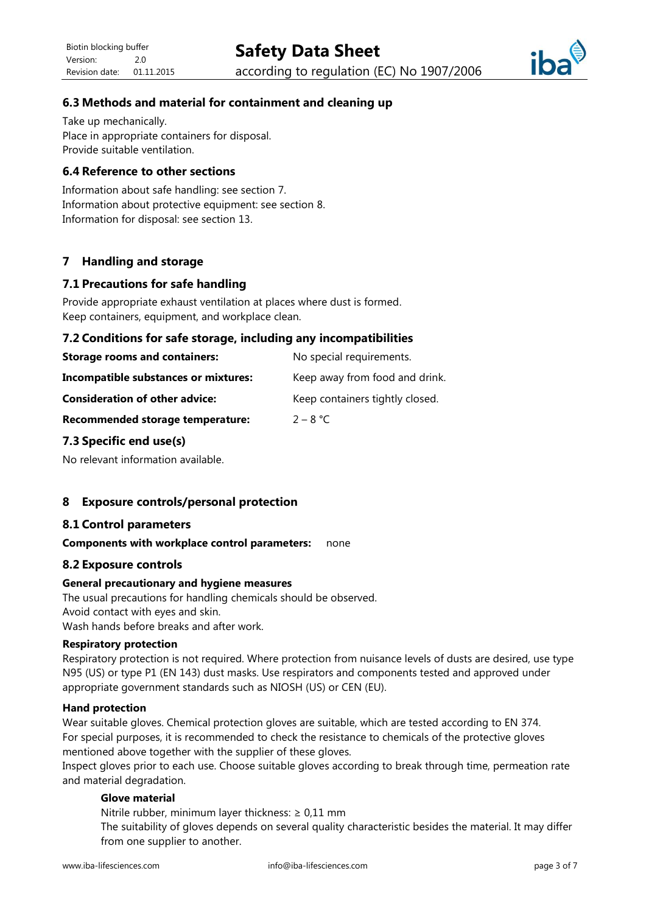

# **6.3 Methods and material for containment and cleaning up**

Take up mechanically. Place in appropriate containers for disposal. Provide suitable ventilation.

#### **6.4 Reference to other sections**

Biotin blocking buffer Version: 2.0 Revision date: 01.11.2015

Information about safe handling: see section 7. Information about protective equipment: see section 8. Information for disposal: see section 13.

## **7 Handling and storage**

## **7.1 Precautions for safe handling**

Provide appropriate exhaust ventilation at places where dust is formed. Keep containers, equipment, and workplace clean.

#### **7.2 Conditions for safe storage, including any incompatibilities**

| <b>Storage rooms and containers:</b>        | No special requirements.        |
|---------------------------------------------|---------------------------------|
| <b>Incompatible substances or mixtures:</b> | Keep away from food and drink.  |
| <b>Consideration of other advice:</b>       | Keep containers tightly closed. |
| <b>Recommended storage temperature:</b>     | $2 - 8 °C$                      |

#### **7.3 Specific end use(s)**

No relevant information available.

## **8 Exposure controls/personal protection**

## **8.1 Control parameters**

#### **Components with workplace control parameters:** none

#### **8.2 Exposure controls**

#### **General precautionary and hygiene measures**

The usual precautions for handling chemicals should be observed. Avoid contact with eyes and skin.

Wash hands before breaks and after work.

#### **Respiratory protection**

Respiratory protection is not required. Where protection from nuisance levels of dusts are desired, use type N95 (US) or type P1 (EN 143) dust masks. Use respirators and components tested and approved under appropriate government standards such as NIOSH (US) or CEN (EU).

#### **Hand protection**

Wear suitable gloves. Chemical protection gloves are suitable, which are tested according to EN 374. For special purposes, it is recommended to check the resistance to chemicals of the protective gloves mentioned above together with the supplier of these gloves.

Inspect gloves prior to each use. Choose suitable gloves according to break through time, permeation rate and material degradation.

#### **Glove material**

Nitrile rubber, minimum layer thickness:  $\geq 0.11$  mm

The suitability of gloves depends on several quality characteristic besides the material. It may differ from one supplier to another.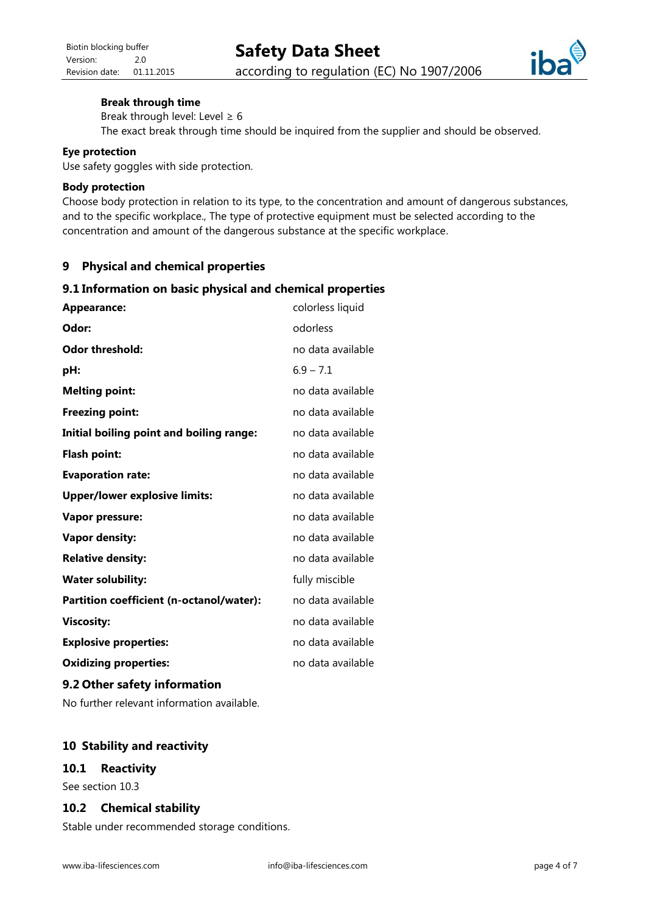

#### **Break through time**

Break through level: Level  $\geq 6$ 

The exact break through time should be inquired from the supplier and should be observed.

# **Eye protection**

Use safety goggles with side protection.

## **Body protection**

Choose body protection in relation to its type, to the concentration and amount of dangerous substances, and to the specific workplace., The type of protective equipment must be selected according to the concentration and amount of the dangerous substance at the specific workplace.

## **9 Physical and chemical properties**

#### **9.1 Information on basic physical and chemical properties**

| <b>Appearance:</b>                       | colorless liquid  |
|------------------------------------------|-------------------|
| Odor:                                    | odorless          |
| Odor threshold:                          | no data available |
| pH:                                      | $6.9 - 7.1$       |
| <b>Melting point:</b>                    | no data available |
| <b>Freezing point:</b>                   | no data available |
| Initial boiling point and boiling range: | no data available |
| <b>Flash point:</b>                      | no data available |
| <b>Evaporation rate:</b>                 | no data available |
| <b>Upper/lower explosive limits:</b>     | no data available |
| <b>Vapor pressure:</b>                   | no data available |
| <b>Vapor density:</b>                    | no data available |
| <b>Relative density:</b>                 | no data available |
| <b>Water solubility:</b>                 | fully miscible    |
| Partition coefficient (n-octanol/water): | no data available |
| <b>Viscosity:</b>                        | no data available |
| <b>Explosive properties:</b>             | no data available |
| <b>Oxidizing properties:</b>             | no data available |
| 9.2 Other safety information             |                   |

No further relevant information available.

# **10 Stability and reactivity**

# **10.1 Reactivity**

See section 10.3

## **10.2 Chemical stability**

Stable under recommended storage conditions.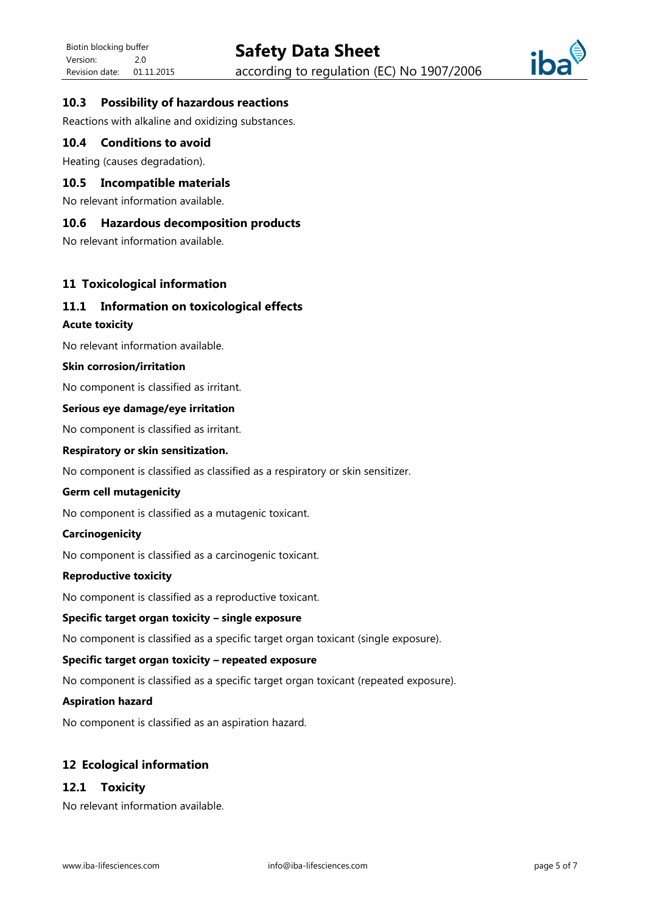

# **10.3 Possibility of hazardous reactions**

Reactions with alkaline and oxidizing substances.

## **10.4 Conditions to avoid**

Heating (causes degradation).

## **10.5 Incompatible materials**

No relevant information available.

#### **10.6 Hazardous decomposition products**

No relevant information available.

## **11 Toxicological information**

#### **11.1 Information on toxicological effects**

#### **Acute toxicity**

No relevant information available.

#### **Skin corrosion/irritation**

No component is classified as irritant.

#### **Serious eye damage/eye irritation**

No component is classified as irritant.

#### **Respiratory or skin sensitization.**

No component is classified as classified as a respiratory or skin sensitizer.

#### **Germ cell mutagenicity**

No component is classified as a mutagenic toxicant.

#### **Carcinogenicity**

No component is classified as a carcinogenic toxicant.

#### **Reproductive toxicity**

No component is classified as a reproductive toxicant.

#### **Specific target organ toxicity – single exposure**

No component is classified as a specific target organ toxicant (single exposure).

## **Specific target organ toxicity – repeated exposure**

No component is classified as a specific target organ toxicant (repeated exposure).

#### **Aspiration hazard**

No component is classified as an aspiration hazard.

## **12 Ecological information**

# **12.1 Toxicity**

No relevant information available.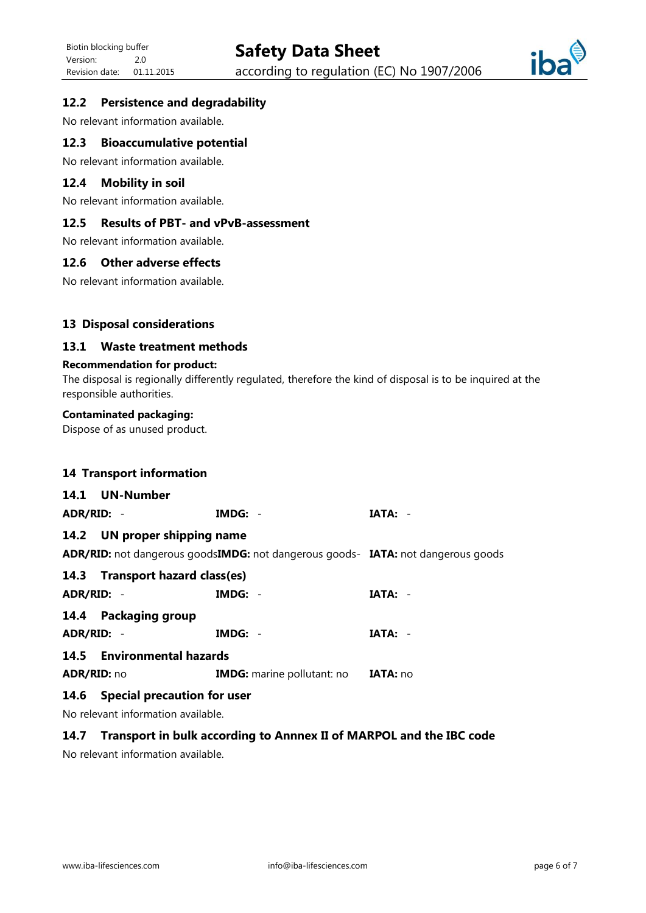

# **12.2 Persistence and degradability**

No relevant information available.

## **12.3 Bioaccumulative potential**

No relevant information available.

## **12.4 Mobility in soil**

No relevant information available.

# **12.5 Results of PBT- and vPvB-assessment**

No relevant information available.

## **12.6 Other adverse effects**

No relevant information available.

## **13 Disposal considerations**

## **13.1 Waste treatment methods**

#### **Recommendation for product:**

The disposal is regionally differently regulated, therefore the kind of disposal is to be inquired at the responsible authorities.

#### **Contaminated packaging:**

Dispose of as unused product.

## **14 Transport information**

| 14.1 UN-Number                     |                                                                                  |           |
|------------------------------------|----------------------------------------------------------------------------------|-----------|
| ADR/RID: -                         | $IMDG: -$                                                                        | $IATA: -$ |
| 14.2 UN proper shipping name       |                                                                                  |           |
|                                    | ADR/RID: not dangerous goodsIMDG: not dangerous goods- IATA: not dangerous goods |           |
| 14.3 Transport hazard class(es)    |                                                                                  |           |
| ADR/RID: -                         | $IMDG: -$                                                                        | $IATA: -$ |
| 14.4 Packaging group               |                                                                                  |           |
| ADR/RID: -                         | IMDG: -                                                                          | $IATA: -$ |
| 14.5 Environmental hazards         |                                                                                  |           |
| <b>ADR/RID: no</b>                 | <b>IMDG:</b> marine pollutant: no <b>IATA:</b> no                                |           |
| 14.6 Special precaution for user   |                                                                                  |           |
| No relevant information available. |                                                                                  |           |

## **14.7 Transport in bulk according to Annnex II of MARPOL and the IBC code**

No relevant information available.